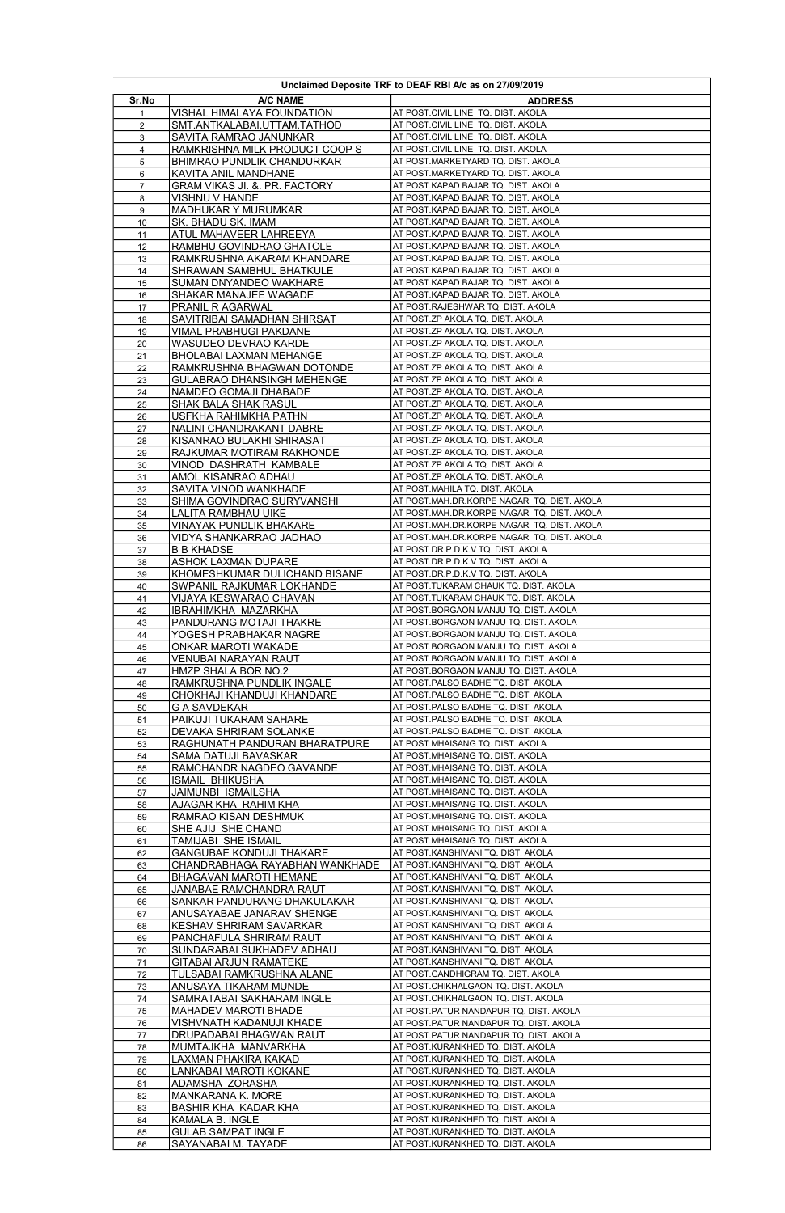| Unclaimed Deposite TRF to DEAF RBI A/c as on 27/09/2019 |                                                        |                                                                                |  |  |
|---------------------------------------------------------|--------------------------------------------------------|--------------------------------------------------------------------------------|--|--|
| Sr.No                                                   | <b>A/C NAME</b>                                        | <b>ADDRESS</b>                                                                 |  |  |
| 1                                                       | VISHAL HIMALAYA FOUNDATION                             | AT POST.CIVIL LINE TQ. DIST. AKOLA                                             |  |  |
| $\overline{\mathbf{c}}$                                 | SMT.ANTKALABAI.UTTAM.TATHOD                            | AT POST.CIVIL LINE TQ. DIST. AKOLA                                             |  |  |
| $\overline{\mathbf{3}}$                                 | SAVITA RAMRAO JANUNKAR                                 | AT POST.CIVIL LINE TQ. DIST. AKOLA                                             |  |  |
| 4                                                       | RAMKRISHNA MILK PRODUCT COOP S                         | AT POST.CIVIL LINE TQ. DIST. AKOLA                                             |  |  |
| 5                                                       | BHIMRAO PUNDLIK CHANDURKAR                             | AT POST.MARKETYARD TQ. DIST. AKOLA                                             |  |  |
| 6                                                       | KAVITA ANIL MANDHANE                                   | AT POST.MARKETYARD TQ. DIST. AKOLA                                             |  |  |
| 7                                                       | GRAM VIKAS JI. &. PR. FACTORY                          | AT POST.KAPAD BAJAR TQ. DIST. AKOLA                                            |  |  |
| 8                                                       | VISHNU V HANDE<br>MADHUKAR Y MURUMKAR                  | AT POST.KAPAD BAJAR TQ. DIST. AKOLA<br>AT POST.KAPAD BAJAR TQ. DIST. AKOLA     |  |  |
| 9<br>10                                                 | SK. BHADU SK. IMAM                                     | AT POST.KAPAD BAJAR TQ. DIST. AKOLA                                            |  |  |
| 11                                                      | ATUL MAHAVEER LAHREEYA                                 | AT POST.KAPAD BAJAR TQ. DIST. AKOLA                                            |  |  |
| 12                                                      | RAMBHU GOVINDRAO GHATOLE                               | AT POST.KAPAD BAJAR TQ. DIST. AKOLA                                            |  |  |
| 13                                                      | RAMKRUSHNA AKARAM KHANDARE                             | AT POST.KAPAD BAJAR TQ. DIST. AKOLA                                            |  |  |
| 14                                                      | SHRAWAN SAMBHUL BHATKULE                               | AT POST.KAPAD BAJAR TQ. DIST. AKOLA                                            |  |  |
| 15                                                      | SUMAN DNYANDEO WAKHARE                                 | AT POST.KAPAD BAJAR TQ. DIST. AKOLA                                            |  |  |
| 16                                                      | SHAKAR MANAJEE WAGADE                                  | AT POST.KAPAD BAJAR TQ. DIST. AKOLA                                            |  |  |
| 17                                                      | PRANIL R AGARWAL                                       | AT POST.RAJESHWAR TQ. DIST. AKOLA                                              |  |  |
| 18<br>19                                                | SAVITRIBAI SAMADHAN SHIRSAT<br>VIMAL PRABHUGI PAKDANE  | AT POST.ZP AKOLA TQ. DIST. AKOLA<br>AT POST.ZP AKOLA TQ. DIST. AKOLA           |  |  |
| 20                                                      | WASUDEO DEVRAO KARDE                                   | AT POST.ZP AKOLA TQ. DIST. AKOLA                                               |  |  |
| 21                                                      | BHOLABAI LAXMAN MEHANGE                                | AT POST.ZP AKOLA TQ. DIST. AKOLA                                               |  |  |
| 22                                                      | RAMKRUSHNA BHAGWAN DOTONDE                             | AT POST.ZP AKOLA TQ. DIST. AKOLA                                               |  |  |
| 23                                                      | GULABRAO DHANSINGH MEHENGE                             | AT POST.ZP AKOLA TQ. DIST. AKOLA                                               |  |  |
| 24                                                      | NAMDEO GOMAJI DHABADE                                  | AT POST.ZP AKOLA TQ. DIST. AKOLA                                               |  |  |
| 25                                                      | SHAK BALA SHAK RASUL                                   | AT POST.ZP AKOLA TQ. DIST. AKOLA                                               |  |  |
| 26                                                      | USFKHA RAHIMKHA PATHN                                  | AT POST.ZP AKOLA TQ. DIST. AKOLA                                               |  |  |
| 27                                                      | NALINI CHANDRAKANT DABRE                               | AT POST.ZP AKOLA TQ. DIST. AKOLA                                               |  |  |
| 28                                                      | KISANRAO BULAKHI SHIRASAT                              | AT POST.ZP AKOLA TQ. DIST. AKOLA                                               |  |  |
| 29<br>30                                                | RAJKUMAR MOTIRAM RAKHONDE<br>VINOD DASHRATH KAMBALE    | AT POST.ZP AKOLA TQ. DIST. AKOLA<br>AT POST.ZP AKOLA TQ. DIST. AKOLA           |  |  |
| 31                                                      | AMOL KISANRAO ADHAU                                    | AT POST.ZP AKOLA TQ. DIST. AKOLA                                               |  |  |
| 32                                                      | SAVITA VINOD WANKHADE                                  | AT POST.MAHILA TQ. DIST. AKOLA                                                 |  |  |
| 33                                                      | SHIMA GOVINDRAO SURYVANSHI                             | AT POST.MAH.DR.KORPE NAGAR TO. DIST. AKOLA                                     |  |  |
| 34                                                      | LALITA RAMBHAU UIKE                                    | AT POST.MAH.DR.KORPE NAGAR TQ. DIST. AKOLA                                     |  |  |
| 35                                                      | VINAYAK PUNDLIK BHAKARE                                | AT POST.MAH.DR.KORPE NAGAR TO. DIST. AKOLA                                     |  |  |
| 36                                                      | VIDYA SHANKARRAO JADHAO                                | AT POST.MAH.DR.KORPE NAGAR TO. DIST. AKOLA                                     |  |  |
| 37                                                      | <b>B B KHADSE</b>                                      | AT POST.DR.P.D.K.V TQ. DIST. AKOLA                                             |  |  |
| 38                                                      | ASHOK LAXMAN DUPARE<br>KHOMESHKUMAR DULICHAND BISANE   | AT POST.DR.P.D.K.V TQ. DIST. AKOLA                                             |  |  |
| 39<br>40                                                | SWPANIL RAJKUMAR LOKHANDE                              | AT POST.DR.P.D.K.V TQ. DIST. AKOLA<br>AT POST.TUKARAM CHAUK TQ. DIST. AKOLA    |  |  |
| 41                                                      | VIJAYA KESWARAO CHAVAN                                 | AT POST.TUKARAM CHAUK TQ. DIST. AKOLA                                          |  |  |
| $\overline{42}$                                         | IBRAHIMKHA MAZARKHA                                    | AT POST.BORGAON MANJU TQ. DIST. AKOLA                                          |  |  |
| 43                                                      | PANDURANG MOTAJI THAKRE                                | AT POST.BORGAON MANJU TO. DIST. AKOLA                                          |  |  |
| 44                                                      | YOGESH PRABHAKAR NAGRE                                 | AT POST.BORGAON MANJU TO. DIST. AKOLA                                          |  |  |
| 45                                                      | ONKAR MAROTI WAKADE                                    | AT POST.BORGAON MANJU TQ. DIST. AKOLA                                          |  |  |
| 46<br>47                                                | VENUBAI NARAYAN RAUT<br>HMZP SHALA BOR NO.2            | AT POST.BORGAON MANJU TQ. DIST. AKOLA<br>AT POST.BORGAON MANJU TQ. DIST. AKOLA |  |  |
| 48                                                      | RAMKRUSHNA PUNDLIK INGALE                              | AT POST.PALSO BADHE TQ. DIST. AKOLA                                            |  |  |
| 49                                                      | CHOKHAJI KHANDUJI KHANDARE                             | AT POST.PALSO BADHE TQ. DIST. AKOLA                                            |  |  |
| 50                                                      | <b>G A SAVDEKAR</b>                                    | AT POST.PALSO BADHE TQ. DIST. AKOLA                                            |  |  |
| 51                                                      | PAIKUJI TUKARAM SAHARE                                 | AT POST.PALSO BADHE TQ. DIST. AKOLA                                            |  |  |
| 52                                                      | DEVAKA SHRIRAM SOLANKE                                 | AT POST.PALSO BADHE TQ. DIST. AKOLA                                            |  |  |
| 53                                                      | RAGHUNATH PANDURAN BHARATPURE<br>SAMA DATUJI BAVASKAR  | AT POST.MHAISANG TQ. DIST. AKOLA<br>AT POST.MHAISANG TQ. DIST. AKOLA           |  |  |
| 54<br>55                                                | RAMCHANDR NAGDEO GAVANDE                               | AT POST.MHAISANG TQ. DIST. AKOLA                                               |  |  |
| 56                                                      | ISMAIL BHIKUSHA                                        | AT POST.MHAISANG TQ. DIST. AKOLA                                               |  |  |
| 57                                                      | JAIMUNBI ISMAILSHA                                     | AT POST.MHAISANG TQ. DIST. AKOLA                                               |  |  |
| 58                                                      | AJAGAR KHA RAHIM KHA                                   | AT POST.MHAISANG TQ. DIST. AKOLA                                               |  |  |
| 59                                                      | RAMRAO KISAN DESHMUK                                   | AT POST.MHAISANG TQ. DIST. AKOLA                                               |  |  |
| 60                                                      | SHE AJIJ SHE CHAND                                     | AT POST.MHAISANG TQ. DIST. AKOLA                                               |  |  |
| 61                                                      | TAMIJABI SHE ISMAIL<br><b>GANGUBAE KONDUJI THAKARE</b> | AT POST.MHAISANG TQ. DIST. AKOLA                                               |  |  |
| 62                                                      | CHANDRABHAGA RAYABHAN WANKHADE                         | AT POST.KANSHIVANI TQ. DIST. AKOLA<br>AT POST.KANSHIVANI TQ. DIST. AKOLA       |  |  |
| 63<br>64                                                | BHAGAVAN MAROTI HEMANE                                 | AT POST.KANSHIVANI TQ. DIST. AKOLA                                             |  |  |
| 65                                                      | JANABAE RAMCHANDRA RAUT                                | AT POST.KANSHIVANI TQ. DIST. AKOLA                                             |  |  |
| 66                                                      | SANKAR PANDURANG DHAKULAKAR                            | AT POST.KANSHIVANI TQ. DIST. AKOLA                                             |  |  |
| 67                                                      | ANUSAYABAE JANARAV SHENGE                              | AT POST.KANSHIVANI TQ. DIST. AKOLA                                             |  |  |
| 68                                                      | KESHAV SHRIRAM SAVARKAR                                | AT POST.KANSHIVANI TQ. DIST. AKOLA                                             |  |  |
| 69                                                      | PANCHAFULA SHRIRAM RAUT                                | AT POST.KANSHIVANI TQ. DIST. AKOLA                                             |  |  |
| 70                                                      | SUNDARABAI SUKHADEV ADHAU                              | AT POST.KANSHIVANI TQ. DIST. AKOLA                                             |  |  |
| 71<br>72                                                | GITABAI ARJUN RAMATEKE<br>TULSABAI RAMKRUSHNA ALANE    | AT POST.KANSHIVANI TQ. DIST. AKOLA<br>AT POST.GANDHIGRAM TQ. DIST. AKOLA       |  |  |
| 73                                                      | ANUSAYA TIKARAM MUNDE                                  | AT POST.CHIKHALGAON TQ. DIST. AKOLA                                            |  |  |
| 74                                                      | SAMRATABAI SAKHARAM INGLE                              | AT POST.CHIKHALGAON TQ. DIST. AKOLA                                            |  |  |
| 75                                                      | MAHADEV MAROTI BHADE                                   | AT POST.PATUR NANDAPUR TQ. DIST. AKOLA                                         |  |  |
| 76                                                      | VISHVNATH KADANUJI KHADE                               | AT POST.PATUR NANDAPUR TQ. DIST. AKOLA                                         |  |  |
| 77                                                      | DRUPADABAI BHAGWAN RAUT                                | AT POST.PATUR NANDAPUR TO. DIST. AKOLA                                         |  |  |
| 78                                                      | MUMTAJKHA MANVARKHA                                    | AT POST.KURANKHED TQ. DIST. AKOLA                                              |  |  |
| 79                                                      | LAXMAN PHAKIRA KAKAD                                   | AT POST.KURANKHED TQ. DIST. AKOLA                                              |  |  |
| 80                                                      | LANKABAI MAROTI KOKANE<br>ADAMSHA ZORASHA              | AT POST.KURANKHED TQ. DIST. AKOLA<br>AT POST.KURANKHED TQ. DIST. AKOLA         |  |  |
| 81<br>82                                                | <b>MANKARANA K. MORE</b>                               | AT POST.KURANKHED TQ. DIST. AKOLA                                              |  |  |
| 83                                                      | BASHIR KHA KADAR KHA                                   | AT POST.KURANKHED TQ. DIST. AKOLA                                              |  |  |
| 84                                                      | KAMALA B. INGLE                                        | AT POST.KURANKHED TQ. DIST. AKOLA                                              |  |  |
| 85                                                      | <b>GULAB SAMPAT INGLE</b>                              | AT POST.KURANKHED TQ. DIST. AKOLA                                              |  |  |
| 86                                                      | SAYANABAI M. TAYADE                                    | AT POST.KURANKHED TQ. DIST. AKOLA                                              |  |  |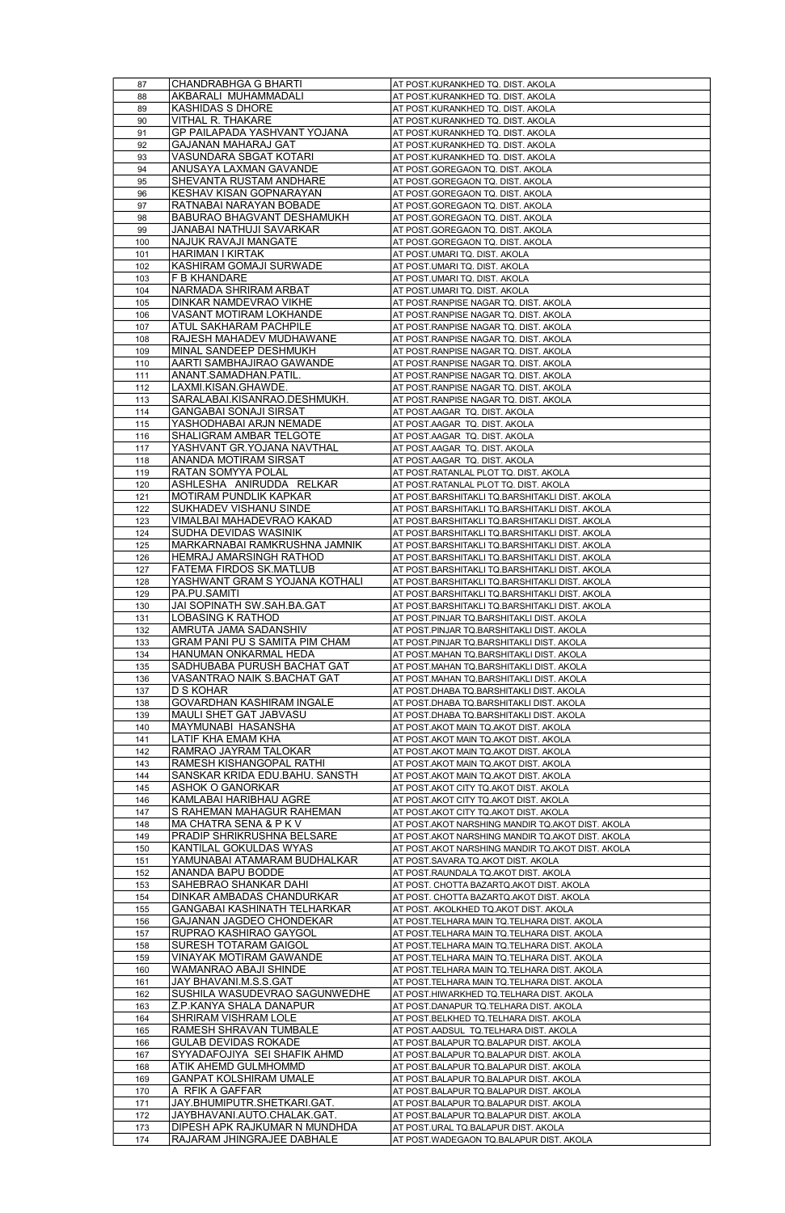|            | CHANDRABHGA G BHARTI                                        | AT POST.KURANKHED TQ. DIST. AKOLA                                              |
|------------|-------------------------------------------------------------|--------------------------------------------------------------------------------|
| 88         | AKBARALI MUHAMMADALI                                        | AT POST.KURANKHED TQ. DIST. AKOLA                                              |
| 89         | KASHIDAS S DHORE                                            | AT POST.KURANKHED TQ. DIST. AKOLA                                              |
| 90         | VITHAL R. THAKARE                                           | AT POST.KURANKHED TQ. DIST. AKOLA                                              |
| 91         | GP PAILAPADA YASHVANT YOJANA                                | AT POST.KURANKHED TQ. DIST. AKOLA                                              |
| 92         | GAJANAN MAHARAJ GAT                                         | AT POST.KURANKHED TQ. DIST. AKOLA                                              |
|            | VASUNDARA SBGAT KOTARI                                      |                                                                                |
| 93         |                                                             | AT POST.KURANKHED TQ. DIST. AKOLA                                              |
| 94         | ANUSAYA LAXMAN GAVANDE                                      | AT POST.GOREGAON TQ. DIST. AKOLA                                               |
| 95         | SHEVANTA RUSTAM ANDHARE                                     | AT POST.GOREGAON TQ. DIST. AKOLA                                               |
| 96         | KESHAV KISAN GOPNARAYAN                                     | AT POST.GOREGAON TQ. DIST. AKOLA                                               |
| 97         | RATNABAI NARAYAN BOBADE                                     | AT POST.GOREGAON TQ. DIST. AKOLA                                               |
| 98         | BABURAO BHAGVANT DESHAMUKH                                  | AT POST.GOREGAON TO. DIST. AKOLA                                               |
| 99         | JANABAI NATHUJI SAVARKAR                                    | AT POST.GOREGAON TO. DIST. AKOLA                                               |
| 100        | NAJUK RAVAJI MANGATE                                        | AT POST.GOREGAON TO. DIST. AKOLA                                               |
| 101        | <b>HARIMAN I KIRTAK</b>                                     | AT POST.UMARI TQ. DIST. AKOLA                                                  |
| 102        | KASHIRAM GOMAJI SURWADE                                     | AT POST.UMARI TQ. DIST. AKOLA                                                  |
| 103        | F B KHANDARE                                                | AT POST.UMARI TQ. DIST. AKOLA                                                  |
| 104        | NARMADA SHRIRAM ARBAT                                       | <u>AT POST.UMARI TQ. DIST. AKOLA</u>                                           |
| 105        | DINKAR NAMDEVRAO VIKHE                                      | AT POST.RANPISE NAGAR TQ. DIST. AKOLA                                          |
| 106        | VASANT MOTIRAM LOKHANDE                                     | AT POST.RANPISE NAGAR TQ. DIST. AKOLA                                          |
| 107        | ATUL SAKHARAM PACHPILE                                      | AT POST.RANPISE NAGAR TQ. DIST. AKOLA                                          |
| 108        | RAJESH MAHADEV MUDHAWANE                                    | AT POST.RANPISE NAGAR TQ. DIST. AKOLA                                          |
| 109        | MINAL SANDEEP DESHMUKH                                      | AT POST.RANPISE NAGAR TQ. DIST. AKOLA                                          |
| 110        | AARTI SAMBHAJIRAO GAWANDE                                   | AT POST.RANPISE NAGAR TQ. DIST. AKOLA                                          |
| 111        | ANANT.SAMADHAN.PATIL                                        | AT POST.RANPISE NAGAR TQ. DIST. AKOLA                                          |
|            | LAXMI.KISAN.GHAWDE                                          | AT POST.RANPISE NAGAR TQ. DIST. AKOLA                                          |
| 112        |                                                             |                                                                                |
| 113        | SARALABAI.KISANRAO.DESHMUKH.                                | AT POST.RANPISE NAGAR TQ. DIST. AKOLA                                          |
| 114        | GANGABAI SONAJI SIRSAT                                      | AT POST.AAGAR TQ. DIST. AKOLA                                                  |
| 115        | YASHODHABAI ARJN NEMADE                                     | AT POST.AAGAR TQ. DIST. AKOLA                                                  |
| 116        | SHALIGRAM AMBAR TELGOTE                                     | AT POST.AAGAR TQ. DIST. AKOLA                                                  |
| 117        | <u>YASHVANT GR.YOJANA NAVTHAL</u>                           | AT POST.AAGAR TQ. DIST. AKOLA                                                  |
| 118        | ANANDA MOTIRAM SIRSAT                                       | AT POST.AAGAR TQ. DIST. AKOLA                                                  |
| 119        | RATAN SOMYYA POLAL                                          | AT POST.RATANLAL PLOT TQ. DIST. AKOLA                                          |
| 120        | ASHLESHA ANIRUDDA RELKAR                                    | AT POST.RATANLAL PLOT TQ. DIST. AKOLA                                          |
| 121        | MOTIRAM PUNDLIK KAPKAR                                      | AT POST.BARSHITAKLI TQ.BARSHITAKLI DIST. AKOLA                                 |
| 122        | SUKHADEV VISHANU SINDE                                      | AT POST.BARSHITAKLI TQ.BARSHITAKLI DIST. AKOLA                                 |
| 123        | VIMALBAI MAHADEVRAO KAKAD                                   | AT POST.BARSHITAKLI TQ.BARSHITAKLI DIST. AKOLA                                 |
| 124        | SUDHA DEVIDAS WASINIK                                       | AT POST.BARSHITAKLI TQ.BARSHITAKLI DIST. AKOLA                                 |
| 125        | MARKARNABAI RAMKRUSHNA JAMNIK                               | AT POST.BARSHITAKLI TQ.BARSHITAKLI DIST. AKOLA                                 |
| 126        | HEMRAJ AMARSINGH RATHOD                                     | AT POST.BARSHITAKLI TO.BARSHITAKLI DIST. AKOLA                                 |
| 127        | FATEMA FIRDOS SK.MATLUB                                     | AT POST.BARSHITAKLI TO.BARSHITAKLI DIST. AKOLA                                 |
| 128        | YASHWANT GRAM S YOJANA KOTHALI                              | AT POST.BARSHITAKLI TQ.BARSHITAKLI DIST. AKOLA                                 |
| 129        | PA.PU.SAMITI                                                | AT POST.BARSHITAKLI TQ.BARSHITAKLI DIST. AKOLA                                 |
| 130        | JAI SOPINATH SW.SAH.BA.GAT                                  | AT POST.BARSHITAKLI TQ.BARSHITAKLI DIST. AKOLA                                 |
| 131        | LOBASING K RATHOD                                           | AT POST.PINJAR TQ.BARSHITAKLI DIST. AKOLA                                      |
| 132        | AMRUTA JAMA SADANSHIV                                       | AT POST.PINJAR TQ.BARSHITAKLI DIST. AKOLA                                      |
| 133        | GRAM PANI PU S SAMITA PIM CHAM                              | AT POST.PINJAR TQ.BARSHITAKLI DIST. AKOLA                                      |
| 134        | HANUMAN ONKARMAL HEDA                                       | AT POST.MAHAN TQ.BARSHITAKLI DIST. AKOLA                                       |
| 135        | SADHUBABA PURUSH BACHAT GAT                                 | AT POST.MAHAN TQ.BARSHITAKLI DIST. AKOLA                                       |
| 136        | VASANTRAO NAIK S.BACHAT GAT                                 | AT POST.MAHAN TQ.BARSHITAKLI DIST. AKOLA                                       |
|            | D S KOHAR                                                   | AT POST.DHABA TQ.BARSHITAKLI DIST. AKOLA                                       |
| 137        |                                                             |                                                                                |
| 138        | GOVARDHAN KASHIRAM INGALE                                   | AT POST.DHABA TQ.BARSHITAKLI DIST. AKOLA                                       |
| 139        | MAULI SHET GAT JABVASU                                      | AT POST.DHABA TQ.BARSHITAKLI DIST. AKOLA                                       |
| 140        | MAYMUNABI HASANSHA                                          | AT POST.AKOT MAIN TQ.AKOT DIST. AKOLA                                          |
| 141        | <u>LATIF KHA EMAM KHA</u>                                   | AT POST.AKOT MAIN TQ.AKOT DIST. AKOLA                                          |
| 142        | RAMRAO JAYRAM TALOKAR                                       | AT POST.AKOT MAIN TQ.AKOT DIST. AKOLA                                          |
| 143        | RAMESH KISHANGOPAL RATHI                                    | AT POST.AKOT MAIN TO.AKOT DIST. AKOLA                                          |
| 144        | SANSKAR KRIDA EDU.BAHU. SANSTH                              | AT POST.AKOT MAIN TQ.AKOT DIST. AKOLA                                          |
| 145        | ASHOK O GANORKAR                                            | AT POST.AKOT CITY TQ.AKOT DIST. AKOLA                                          |
| 146        | KAMLABAI HARIBHAU AGRE                                      | AT POST.AKOT CITY TQ.AKOT DIST. AKOLA                                          |
| 147        | S RAHEMAN MAHAGUR RAHEMAN                                   | AT POST.AKOT CITY TQ.AKOT DIST. AKOLA                                          |
| 148        | MA CHATRA SENA & P K V                                      | AT POST.AKOT NARSHING MANDIR TO.AKOT DIST. AKOLA                               |
| 149        | PRADIP SHRIKRUSHNA BELSARE                                  | AT POST.AKOT NARSHING MANDIR TO AKOT DIST. AKOLA                               |
| 150        | KANTILAL GOKULDAS WYAS                                      | AT POST.AKOT NARSHING MANDIR TQ.AKOT DIST. AKOLA                               |
| 151        | YAMUNABAI ATAMARAM BUDHALKAR                                | AT POST.SAVARA TQ.AKOT DIST. AKOLA                                             |
| 152        | ANANDA BAPU BODDE                                           | AT POST.RAUNDALA TO.AKOT DIST. AKOLA                                           |
| 153        | SAHEBRAO SHANKAR DAHI                                       | AT POST. CHOTTA BAZARTQ.AKOT DIST. AKOLA                                       |
| 154        | <u>DINKAR AMBADAS CHANDURKAR</u>                            | AT POST. CHOTTA BAZARTQ.AKOT DIST. AKOLA                                       |
| 155        | GANGABAI KASHINATH TELHARKAR                                | AT POST. AKOLKHED TQ.AKOT DIST. AKOLA                                          |
| 156        | GAJANAN JAGDEO CHONDEKAR                                    | AT POST.TELHARA MAIN TQ.TELHARA DIST. AKOLA                                    |
| 157        | RUPRAO KASHIRAO GAYGOL                                      | AT POST.TELHARA MAIN TQ.TELHARA DIST. AKOLA                                    |
| 158        | SURESH TOTARAM GAIGOL                                       | AT POST.TELHARA MAIN TQ.TELHARA DIST. AKOLA                                    |
| 159        | VINAYAK MOTIRAM GAWANDE                                     | AT POST.TELHARA MAIN TO.TELHARA DIST. AKOLA                                    |
|            | WAMANRAO ABAJI SHIND                                        | AT POST.TELHARA MAIN TQ.TELHARA DIST. AK(                                      |
| 161        | JAY BHAVANI.M.S.S.GAT                                       | AT POST.TELHARA MAIN TO.TELHARA DIST. AKOLA                                    |
| 162        | SUSHILA WASUDEVRAO SAGUNWEDHE                               | AT POST.HIWARKHED TQ.TELHARA DIST. AKOLA                                       |
| 163        | Z.P.KANYA SHALA DANAPUR                                     | AT POST.DANAPUR TO TELHARA DIST. AKOLA                                         |
| 164        | SHRIRAM VISHRAM LOLE                                        | AT POST.BELKHED TQ.TELHARA DIST. AKOLA                                         |
| 165        | RAMESH SHRAVAN TUMBALE                                      | AT POST.AADSUL TQ.TELHARA DIST. AKOLA                                          |
| 166        | GULAB DEVIDAS ROKADE                                        | AT POST.BALAPUR TO.BALAPUR DIST. AKOLA                                         |
| 167        | SYYADAFOJIYA SEI SHAFIK AHMD                                | AT POST.BALAPUR TQ.BALAPUR DIST. AKOLA                                         |
| 168        | ATIK AHEMD GULMHOMMD                                        | AT POST.BALAPUR TQ.BALAPUR DIST. AKOLA                                         |
| 169        | GANPAT KOLSHIRAM UMALE                                      | AT POST.BALAPUR TQ.BALAPUR DIST. AKOLA                                         |
| 170        | A RFIK A GAFFAR                                             | AT POST.BALAPUR TQ.BALAPUR DIST. AKOLA                                         |
| 171        | JAY.BHUMIPUTR.SHETKARI.GAT.                                 | AT POST.BALAPUR TQ.BALAPUR DIST. AKOLA                                         |
| 172        | JAYBHAVANI.AUTO.CHALAK.GAT.                                 | AT POST.BALAPUR TO BALAPUR DIST. AKOLA                                         |
| 173<br>174 | DIPESH APK RAJKUMAR N MUNDHDA<br>RAJARAM JHINGRAJEE DABHALE | AT POST.URAL TO BALAPUR DIST. AKOLA<br>AT POST.WADEGAON TO.BALAPUR DIST. AKOLA |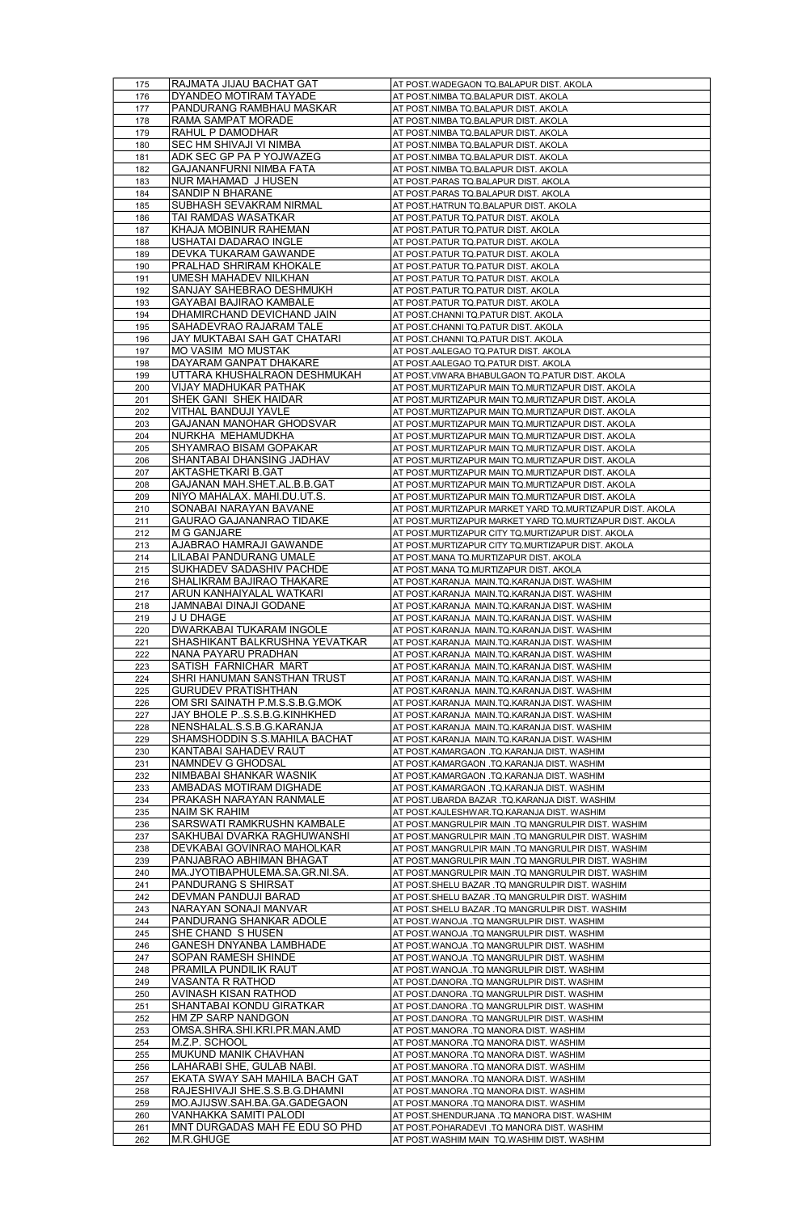| 175        | RAJMATA JIJAU BACHAT GAT                    | AT POST.WADEGAON TQ.BALAPUR DIST. AKOLA                                                  |
|------------|---------------------------------------------|------------------------------------------------------------------------------------------|
| 176        | DYANDEO MOTIRAM TAYADE                      | AT POST.NIMBA TQ.BALAPUR DIST. AKOLA                                                     |
| 177        | PANDURANG RAMBHAU MASKAR                    | AT POST.NIMBA TQ.BALAPUR DIST. AKOLA                                                     |
| 178        | RAMA SAMPAT MORADE                          | AT POST.NIMBA TQ.BALAPUR DIST. AKOLA                                                     |
| 179        | RAHUL P DAMODHAR                            | AT POST.NIMBA TQ.BALAPUR DIST. AKOLA                                                     |
|            | <u>SEC HM SHIVAJI VI NIMBA</u>              |                                                                                          |
| 180        | ADK SEC GP PA P YOJWAZEG                    | AT POST.NIMBA TQ.BALAPUR DIST. AKOLA                                                     |
| 181        |                                             | AT POST.NIMBA TQ.BALAPUR DIST. AKOLA                                                     |
| 182        | GAJANANFURNI NIMBA FATA                     | AT POST.NIMBA TQ.BALAPUR DIST. AKOLA                                                     |
| 183        | NUR MAHAMAD J HUSEN                         | AT POST.PARAS TQ.BALAPUR DIST. AKOLA                                                     |
| 184        | SANDIP N BHARANE                            | AT POST.PARAS TQ.BALAPUR DIST. AKOLA                                                     |
| 185        | SUBHASH SEVAKRAM NIRMAL                     | AT POST.HATRUN TQ.BALAPUR DIST. AKOLA                                                    |
| 186        | TAI RAMDAS WASATKAR                         | AT POST.PATUR TO PATUR DIST. AKOLA                                                       |
| 187        | KHAJA MOBINUR RAHEMAN                       | AT POST.PATUR TO PATUR DIST. AKOLA                                                       |
| 188        | USHATAI DADARAO INGLE                       | AT POST.PATUR TO PATUR DIST. AKOLA                                                       |
| 189        | DEVKA TUKARAM GAWANDE                       | AT POST.PATUR TO.PATUR DIST. AKOLA                                                       |
| 190        | PRALHAD SHRIRAM KHOKALE                     | AT POST.PATUR TO PATUR DIST. AKOLA                                                       |
| 191        | UMESH MAHADEV NILKHAN                       | <u>AT POST PATUR TO PATUR DIST. AKOLA</u>                                                |
| 192        | SANJAY SAHEBRAO DESHMUKH                    | <u>AT POST PATUR TO PATUR DIST. AKOLA</u>                                                |
| 193        | GAYABAI BAJIRAO KAMBALE                     | AT POST.PATUR TO.PATUR DIST. AKOLA                                                       |
| 194        | DHAMIRCHAND DEVICHAND JAIN                  | AT POST.CHANNI TQ.PATUR DIST. AKOLA                                                      |
|            | SAHADEVRAO RAJARAM TALE                     | AT POST.CHANNI TQ.PATUR DIST. AKOLA                                                      |
| 195        |                                             |                                                                                          |
| 196        | JAY MUKTABAI SAH GAT CHATARI                | AT POST.CHANNI TQ.PATUR DIST. AKOLA                                                      |
| 197        | MO VASIM MO MUSTAK                          | AT POST.AALEGAO TQ.PATUR DIST. AKOLA                                                     |
| 198        | DAYARAM GANPAT DHAKARE                      | AT POST.AALEGAO TQ.PATUR DIST. AKOLA                                                     |
| 199        | UTTARA KHUSHALRAON DESHMUKAH                | AT POST.VIWARA BHABULGAON TQ.PATUR DIST. AKOLA                                           |
| 200        | VIJAY MADHUKAR PATHAK                       | AT POST.MURTIZAPUR MAIN TQ.MURTIZAPUR DIST. AKOLA                                        |
| 201        | SHEK GANI SHEK HAIDAR                       | AT POST.MURTIZAPUR MAIN TQ.MURTIZAPUR DIST. AKOLA                                        |
| 202        | VITHAL BANDUJI YAVLE                        | AT POST.MURTIZAPUR MAIN TQ.MURTIZAPUR DIST. AKOLA                                        |
| 203        | GAJANAN MANOHAR GHODSVAR                    | AT POST.MURTIZAPUR MAIN TQ.MURTIZAPUR DIST. AKOLA                                        |
| 204        | NURKHA MEHAMUDKHA                           | AT POST.MURTIZAPUR MAIN TQ.MURTIZAPUR DIST. AKOLA                                        |
| 205        | SHYAMRAO BISAM GOPAKAR                      | AT POST.MURTIZAPUR MAIN TO.MURTIZAPUR DIST. AKOLA                                        |
| 206        | SHANTABAI DHANSING JADHAV                   | AT POST.MURTIZAPUR MAIN TO.MURTIZAPUR DIST. AKOLA                                        |
| 207        | AKTASHETKARI B.GAT                          | AT POST.MURTIZAPUR MAIN TQ.MURTIZAPUR DIST. AKOLA                                        |
| 208        | GAJANAN MAH.SHET.AL.B.B.GAT                 | AT POST.MURTIZAPUR MAIN TQ.MURTIZAPUR DIST. AKOLA                                        |
| 209        | NIYO MAHALAX. MAHI.DU.UT.S.                 | AT POST.MURTIZAPUR MAIN TO.MURTIZAPUR DIST. AKOLA                                        |
| 210        | SONABAI NARAYAN BAVANE                      | AT POST.MURTIZAPUR MARKET YARD TO.MURTIZAPUR DIST. AKOLA                                 |
| 211        | GAURAO GAJANANRAO TIDAKE                    | AT POST.MURTIZAPUR MARKET YARD TQ.MURTIZAPUR DIST. AKOLA                                 |
| 212        | M G GANJARE                                 | AT POST.MURTIZAPUR CITY TO.MURTIZAPUR DIST. AKOLA                                        |
| 213        | AJABRAO HAMRAJI GAWANDE                     | AT POST.MURTIZAPUR CITY TO.MURTIZAPUR DIST. AKOLA                                        |
| 214        | LILABAI PANDURANG UMALE                     | AT POST.MANA TQ.MURTIZAPUR DIST. AKOLA                                                   |
| 215        | SUKHADEV SADASHIV PACHDE                    | AT POST.MANA TQ.MURTIZAPUR DIST. AKOLA                                                   |
| 216        | SHALIKRAM BAJIRAO THAKARE                   | AT POST.KARANJA MAIN.TQ.KARANJA DIST. WASHIM                                             |
| 217        | ARUN KANHAIYALAL WATKARI                    | AT POST.KARANJA MAIN.TQ.KARANJA DIST. WASHIM                                             |
| 218        | JAMNABAI DINAJI GODANE                      | AT POST.KARANJA MAIN.TQ.KARANJA DIST. WASHIM                                             |
| 219        | J U DHAGE                                   | AT POST.KARANJA MAIN.TQ.KARANJA DIST. WASHIM                                             |
| 220        | DWARKABAI TUKARAM INGOLE                    | AT POST.KARANJA MAIN.TQ.KARANJA DIST. WASHIM                                             |
|            | SHASHIKANT BALKRUSHNA YEVATKAR              | AT POST.KARANJA MAIN.TQ.KARANJA DIST. WASHIM                                             |
|            |                                             |                                                                                          |
| 221        |                                             |                                                                                          |
| 222        | NANA PAYARU PRADHAN                         | AT POST.KARANJA MAIN.TQ.KARANJA DIST. WASHIM                                             |
| 223        | SATISH FARNICHAR MART                       | AT POST.KARANJA MAIN.TQ.KARANJA DIST. WASHIM                                             |
| 224        | SHRI HANUMAN SANSTHAN TRUST                 | AT POST.KARANJA MAIN.TQ.KARANJA DIST. WASHIM                                             |
| 225        | GURUDEV PRATISHTHAN                         | AT POST.KARANJA MAIN.TQ.KARANJA DIST. WASHIM                                             |
| 226        | OM SRI SAINATH P.M.S.S.B.G.MOK              | AT POST.KARANJA MAIN.TQ.KARANJA DIST. WASHIM                                             |
| 227        | JAY BHOLE PS.S.B.G.KINHKHED                 | AT POST.KARANJA MAIN.TQ.KARANJA DIST. WASHIM                                             |
| 228        | NENSHALAL.S.S.B.G.KARANJA                   | AT POST.KARANJA MAIN.TQ.KARANJA DIST. WASHIM                                             |
| 229        | <u>SHAMSHODDIN S.S.MAHILA BACHAT</u>        | AT POST.KARANJA MAIN.TQ.KARANJA DIST. WASHIM                                             |
| 230        | KANTABAI SAHADEV RAUT                       | AT POST.KAMARGAON .TQ.KARANJA DIST. WASHIM                                               |
| 231        | NAMNDEV G GHODSAL                           | AT POST.KAMARGAON .TQ.KARANJA DIST. WASHIM                                               |
| 232        | NIMBABAI SHANKAR WASNIK                     | AT POST.KAMARGAON .TQ.KARANJA DIST. WASHIM                                               |
| 233        | AMBADAS MOTIRAM DIGHADE                     | AT POST.KAMARGAON .TQ.KARANJA DIST. WASHIM                                               |
| 234        | PRAKASH NARAYAN RANMALE                     | AT POST.UBARDA BAZAR .TQ.KARANJA DIST. WASHIM                                            |
| 235        | NAIM SK RAHIM                               | AT POST.KAJLESHWAR.TQ.KARANJA DIST. WASHIM                                               |
| 236        | SARSWATI RAMKRUSHN KAMBALE                  | AT POST.MANGRULPIR MAIN .TQ MANGRULPIR DIST. WASHIM                                      |
| 237        | SAKHUBAI DVARKA RAGHUWANSHI                 | AT POST.MANGRULPIR MAIN .TQ MANGRULPIR DIST. WASHIM                                      |
| 238        | DEVKABAI GOVINRAO MAHOLKAR                  | AT POST.MANGRULPIR MAIN .TQ MANGRULPIR DIST. WASHIM                                      |
| 239        | PANJABRAO ABHIMAN BHAGAT                    | AT POST.MANGRULPIR MAIN .TQ MANGRULPIR DIST. WASHIM                                      |
| 240        | MA.JYOTIBAPHULEMA.SA.GR.NI.SA               | AT POST.MANGRULPIR MAIN .TQ MANGRULPIR DIST. WASHIM                                      |
| 241        | PANDURANG S SHIRSAT                         | AT POST SHELU BAZAR .TQ MANGRULPIR DIST. WASHIM                                          |
| 242        | DEVMAN PANDUJI BARAD                        | AT POST.SHELU BAZAR .TQ MANGRULPIR DIST. WASHIM                                          |
| 243        | NARAYAN SONAJI MANVAR                       | AT POST.SHELU BAZAR .TQ MANGRULPIR DIST. WASHIM                                          |
| 244        | PANDURANG SHANKAR ADOLE                     | AT POST.WANOJA .TQ MANGRULPIR DIST. WASHIM                                               |
| 245        | SHE CHAND S HUSEN                           | AT POST.WANOJA .TQ MANGRULPIR DIST. WASHIM                                               |
| 246        | GANESH DNYANBA LAMBHADE                     | AT POST.WANOJA .TQ MANGRULPIR DIST. WASHIM                                               |
| 247        | SOPAN RAMESH SHINDE                         | AT POST.WANOJA .TQ MANGRULPIR DIST. WASHIM                                               |
|            | PRAMILA PUNDILIK RAUT                       | AT POST.WANOJA .TQ MANGRULPIR DIST.                                                      |
| 249        | VASANTA R RATHOD                            | AT POST.DANORA .TQ MANGRULPIR DIST. WASHIM                                               |
| 250        | AVINASH KISAN RATHOD                        | AT POST.DANORA .TQ MANGRULPIR DIST. WASHIM                                               |
| 251        | SHANTABAI KONDU GIRATKAR                    | AT POST.DANORA .TQ MANGRULPIR DIST. WASHIM                                               |
| 252        | HM ZP SARP NANDGON                          | AT POST.DANORA .TQ MANGRULPIR DIST. WASHIM                                               |
| 253        | OMSA.SHRA.SHI.KRI.PR.MAN.AMD                | AT POST.MANORA .TQ MANORA DIST. WASHIM                                                   |
| 254        | M.Z.P. SCHOOL                               | AT POST.MANORA .TQ MANORA DIST. WASHIM                                                   |
| 255        | MUKUND MANIK CHAVHAN                        | AT POST.MANORA .TQ MANORA DIST. WASHIM                                                   |
| 256        | LAHARABI SHE, GULAB NABI.                   | AT POST.MANORA .TQ MANORA DIST. WASHIM                                                   |
| 257        | EKATA SWAY SAH MAHILA BACH GAT              | AT POST.MANORA .TQ MANORA DIST. WASHIM                                                   |
| 258        | RAJESHIVAJI SHE.S.S.B.G.DHAMNI              | AT POST.MANORA .TQ MANORA DIST. WASHIM                                                   |
| 259        | MO.AJIJSW.SAH.BA.GA.GADEGAON                | AT POST.MANORA .TQ MANORA DIST. WASHIM                                                   |
| 260        | VANHAKKA SAMITI PALODI                      | AT POST.SHENDURJANA .TQ MANORA DIST. WASHIM                                              |
| 261<br>262 | MNT DURGADAS MAH FE EDU SO PHD<br>M.R.GHUGE | AT POST.POHARADEVI .TQ MANORA DIST. WASHIM<br>AT POST.WASHIM MAIN TQ.WASHIM DIST. WASHIM |